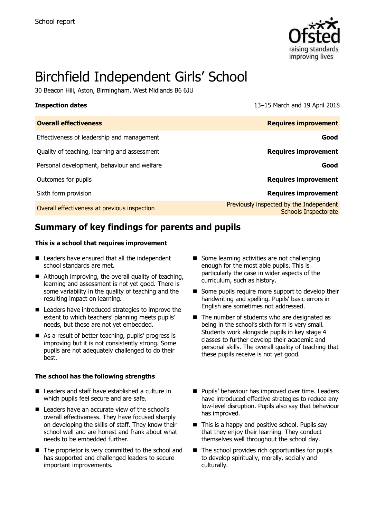

# Birchfield Independent Girls' School

30 Beacon Hill, Aston, Birmingham, West Midlands B6 6JU

**Inspection dates** 13–15 March and 19 April 2018

| <b>Overall effectiveness</b>                 | <b>Requires improvement</b>                                            |
|----------------------------------------------|------------------------------------------------------------------------|
| Effectiveness of leadership and management   | Good                                                                   |
| Quality of teaching, learning and assessment | <b>Requires improvement</b>                                            |
| Personal development, behaviour and welfare  | Good                                                                   |
| Outcomes for pupils                          | <b>Requires improvement</b>                                            |
| Sixth form provision                         | <b>Requires improvement</b>                                            |
| Overall effectiveness at previous inspection | Previously inspected by the Independent<br><b>Schools Inspectorate</b> |

# **Summary of key findings for parents and pupils**

#### **This is a school that requires improvement**

- Leaders have ensured that all the independent school standards are met.
- Although improving, the overall quality of teaching, learning and assessment is not yet good. There is some variability in the quality of teaching and the resulting impact on learning.
- Leaders have introduced strategies to improve the extent to which teachers' planning meets pupils' needs, but these are not yet embedded.
- As a result of better teaching, pupils' progress is improving but it is not consistently strong. Some pupils are not adequately challenged to do their best.

#### **The school has the following strengths**

- Leaders and staff have established a culture in which pupils feel secure and are safe.
- Leaders have an accurate view of the school's overall effectiveness. They have focused sharply on developing the skills of staff. They know their school well and are honest and frank about what needs to be embedded further.
- The proprietor is very committed to the school and has supported and challenged leaders to secure important improvements.
- Some learning activities are not challenging enough for the most able pupils. This is particularly the case in wider aspects of the curriculum, such as history.
- Some pupils require more support to develop their handwriting and spelling. Pupils' basic errors in English are sometimes not addressed.
- The number of students who are designated as being in the school's sixth form is very small. Students work alongside pupils in key stage 4 classes to further develop their academic and personal skills. The overall quality of teaching that these pupils receive is not yet good.
- **Pupils' behaviour has improved over time. Leaders** have introduced effective strategies to reduce any low-level disruption. Pupils also say that behaviour has improved.
- $\blacksquare$  This is a happy and positive school. Pupils say that they enjoy their learning. They conduct themselves well throughout the school day.
- The school provides rich opportunities for pupils to develop spiritually, morally, socially and culturally.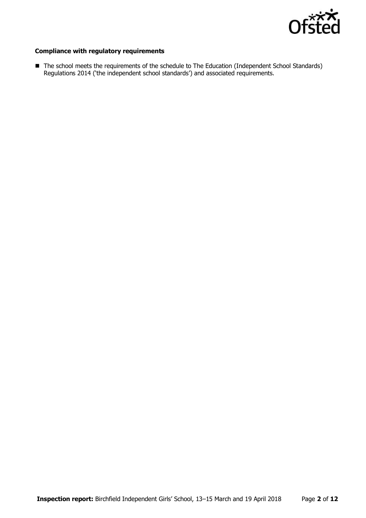

#### **Compliance with regulatory requirements**

■ The school meets the requirements of the schedule to The Education (Independent School Standards) Regulations 2014 ('the independent school standards') and associated requirements.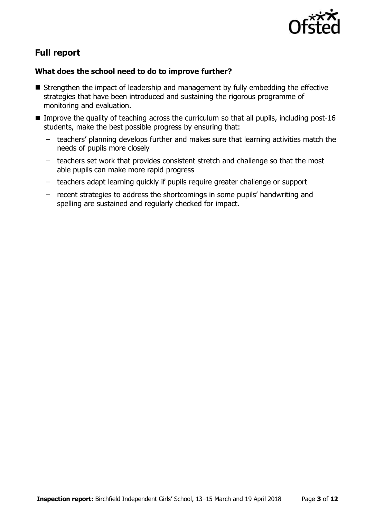

# **Full report**

### **What does the school need to do to improve further?**

- Strengthen the impact of leadership and management by fully embedding the effective strategies that have been introduced and sustaining the rigorous programme of monitoring and evaluation.
- Improve the quality of teaching across the curriculum so that all pupils, including post-16 students, make the best possible progress by ensuring that:
	- teachers' planning develops further and makes sure that learning activities match the needs of pupils more closely
	- teachers set work that provides consistent stretch and challenge so that the most able pupils can make more rapid progress
	- teachers adapt learning quickly if pupils require greater challenge or support
	- recent strategies to address the shortcomings in some pupils' handwriting and spelling are sustained and regularly checked for impact.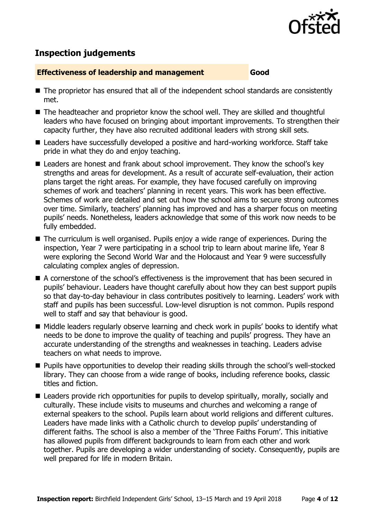

# **Inspection judgements**

#### **Effectiveness of leadership and management Good**

- The proprietor has ensured that all of the independent school standards are consistently met.
- The headteacher and proprietor know the school well. They are skilled and thoughtful leaders who have focused on bringing about important improvements. To strengthen their capacity further, they have also recruited additional leaders with strong skill sets.
- Leaders have successfully developed a positive and hard-working workforce. Staff take pride in what they do and enjoy teaching.
- Leaders are honest and frank about school improvement. They know the school's key strengths and areas for development. As a result of accurate self-evaluation, their action plans target the right areas. For example, they have focused carefully on improving schemes of work and teachers' planning in recent years. This work has been effective. Schemes of work are detailed and set out how the school aims to secure strong outcomes over time. Similarly, teachers' planning has improved and has a sharper focus on meeting pupils' needs. Nonetheless, leaders acknowledge that some of this work now needs to be fully embedded.
- The curriculum is well organised. Pupils enjoy a wide range of experiences. During the inspection, Year 7 were participating in a school trip to learn about marine life, Year 8 were exploring the Second World War and the Holocaust and Year 9 were successfully calculating complex angles of depression.
- A cornerstone of the school's effectiveness is the improvement that has been secured in pupils' behaviour. Leaders have thought carefully about how they can best support pupils so that day-to-day behaviour in class contributes positively to learning. Leaders' work with staff and pupils has been successful. Low-level disruption is not common. Pupils respond well to staff and say that behaviour is good.
- Middle leaders regularly observe learning and check work in pupils' books to identify what needs to be done to improve the quality of teaching and pupils' progress. They have an accurate understanding of the strengths and weaknesses in teaching. Leaders advise teachers on what needs to improve.
- **Pupils have opportunities to develop their reading skills through the school's well-stocked** library. They can choose from a wide range of books, including reference books, classic titles and fiction.
- Leaders provide rich opportunities for pupils to develop spiritually, morally, socially and culturally. These include visits to museums and churches and welcoming a range of external speakers to the school. Pupils learn about world religions and different cultures. Leaders have made links with a Catholic church to develop pupils' understanding of different faiths. The school is also a member of the 'Three Faiths Forum'. This initiative has allowed pupils from different backgrounds to learn from each other and work together. Pupils are developing a wider understanding of society. Consequently, pupils are well prepared for life in modern Britain.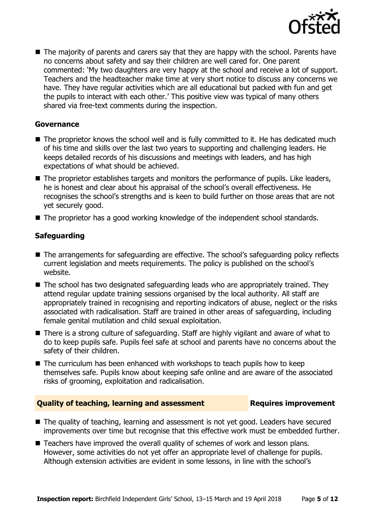

■ The majority of parents and carers say that they are happy with the school. Parents have no concerns about safety and say their children are well cared for. One parent commented: 'My two daughters are very happy at the school and receive a lot of support. Teachers and the headteacher make time at very short notice to discuss any concerns we have. They have regular activities which are all educational but packed with fun and get the pupils to interact with each other.' This positive view was typical of many others shared via free-text comments during the inspection.

#### **Governance**

- The proprietor knows the school well and is fully committed to it. He has dedicated much of his time and skills over the last two years to supporting and challenging leaders. He keeps detailed records of his discussions and meetings with leaders, and has high expectations of what should be achieved.
- The proprietor establishes targets and monitors the performance of pupils. Like leaders, he is honest and clear about his appraisal of the school's overall effectiveness. He recognises the school's strengths and is keen to build further on those areas that are not yet securely good.
- The proprietor has a good working knowledge of the independent school standards.

#### **Safeguarding**

- The arrangements for safeguarding are effective. The school's safeguarding policy reflects current legislation and meets requirements. The policy is published on the school's website.
- The school has two designated safeguarding leads who are appropriately trained. They attend regular update training sessions organised by the local authority. All staff are appropriately trained in recognising and reporting indicators of abuse, neglect or the risks associated with radicalisation. Staff are trained in other areas of safeguarding, including female genital mutilation and child sexual exploitation.
- There is a strong culture of safeguarding. Staff are highly vigilant and aware of what to do to keep pupils safe. Pupils feel safe at school and parents have no concerns about the safety of their children.
- The curriculum has been enhanced with workshops to teach pupils how to keep themselves safe. Pupils know about keeping safe online and are aware of the associated risks of grooming, exploitation and radicalisation.

#### **Quality of teaching, learning and assessment Fig. 2.1 Requires improvement**

- The quality of teaching, learning and assessment is not yet good. Leaders have secured improvements over time but recognise that this effective work must be embedded further.
- Teachers have improved the overall quality of schemes of work and lesson plans. However, some activities do not yet offer an appropriate level of challenge for pupils. Although extension activities are evident in some lessons, in line with the school's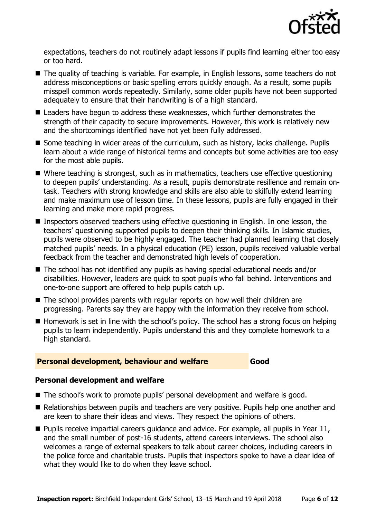

expectations, teachers do not routinely adapt lessons if pupils find learning either too easy or too hard.

- The quality of teaching is variable. For example, in English lessons, some teachers do not address misconceptions or basic spelling errors quickly enough. As a result, some pupils misspell common words repeatedly. Similarly, some older pupils have not been supported adequately to ensure that their handwriting is of a high standard.
- Leaders have begun to address these weaknesses, which further demonstrates the strength of their capacity to secure improvements. However, this work is relatively new and the shortcomings identified have not yet been fully addressed.
- Some teaching in wider areas of the curriculum, such as history, lacks challenge. Pupils learn about a wide range of historical terms and concepts but some activities are too easy for the most able pupils.
- Where teaching is strongest, such as in mathematics, teachers use effective questioning to deepen pupils' understanding. As a result, pupils demonstrate resilience and remain ontask. Teachers with strong knowledge and skills are also able to skilfully extend learning and make maximum use of lesson time. In these lessons, pupils are fully engaged in their learning and make more rapid progress.
- Inspectors observed teachers using effective questioning in English. In one lesson, the teachers' questioning supported pupils to deepen their thinking skills. In Islamic studies, pupils were observed to be highly engaged. The teacher had planned learning that closely matched pupils' needs. In a physical education (PE) lesson, pupils received valuable verbal feedback from the teacher and demonstrated high levels of cooperation.
- The school has not identified any pupils as having special educational needs and/or disabilities. However, leaders are quick to spot pupils who fall behind. Interventions and one-to-one support are offered to help pupils catch up.
- The school provides parents with regular reports on how well their children are progressing. Parents say they are happy with the information they receive from school.
- $\blacksquare$  Homework is set in line with the school's policy. The school has a strong focus on helping pupils to learn independently. Pupils understand this and they complete homework to a high standard.

#### **Personal development, behaviour and welfare <b>Good**

#### **Personal development and welfare**

- The school's work to promote pupils' personal development and welfare is good.
- Relationships between pupils and teachers are very positive. Pupils help one another and are keen to share their ideas and views. They respect the opinions of others.
- $\blacksquare$  Pupils receive impartial careers guidance and advice. For example, all pupils in Year 11, and the small number of post-16 students, attend careers interviews. The school also welcomes a range of external speakers to talk about career choices, including careers in the police force and charitable trusts. Pupils that inspectors spoke to have a clear idea of what they would like to do when they leave school.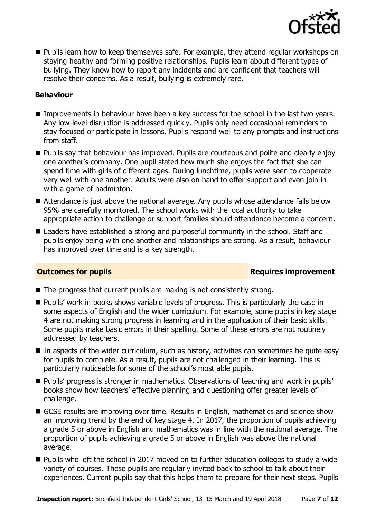

**Pupils learn how to keep themselves safe. For example, they attend regular workshops on** staying healthy and forming positive relationships. Pupils learn about different types of bullying. They know how to report any incidents and are confident that teachers will resolve their concerns. As a result, bullying is extremely rare.

#### **Behaviour**

- Improvements in behaviour have been a key success for the school in the last two years. Any low-level disruption is addressed quickly. Pupils only need occasional reminders to stay focused or participate in lessons. Pupils respond well to any prompts and instructions from staff.
- **Pupils say that behaviour has improved. Pupils are courteous and polite and clearly enjoy** one another's company. One pupil stated how much she enjoys the fact that she can spend time with girls of different ages. During lunchtime, pupils were seen to cooperate very well with one another. Adults were also on hand to offer support and even join in with a game of badminton.
- Attendance is just above the national average. Any pupils whose attendance falls below 95% are carefully monitored. The school works with the local authority to take appropriate action to challenge or support families should attendance become a concern.
- Leaders have established a strong and purposeful community in the school. Staff and pupils enjoy being with one another and relationships are strong. As a result, behaviour has improved over time and is a key strength.

### **Outcomes for pupils Requires improvement**

- $\blacksquare$  The progress that current pupils are making is not consistently strong.
- Pupils' work in books shows variable levels of progress. This is particularly the case in some aspects of English and the wider curriculum. For example, some pupils in key stage 4 are not making strong progress in learning and in the application of their basic skills. Some pupils make basic errors in their spelling. Some of these errors are not routinely addressed by teachers.
- In aspects of the wider curriculum, such as history, activities can sometimes be quite easy for pupils to complete. As a result, pupils are not challenged in their learning. This is particularly noticeable for some of the school's most able pupils.
- **Pupils' progress is stronger in mathematics. Observations of teaching and work in pupils'** books show how teachers' effective planning and questioning offer greater levels of challenge.
- GCSE results are improving over time. Results in English, mathematics and science show an improving trend by the end of key stage 4. In 2017, the proportion of pupils achieving a grade 5 or above in English and mathematics was in line with the national average. The proportion of pupils achieving a grade 5 or above in English was above the national average.
- Pupils who left the school in 2017 moved on to further education colleges to study a wide variety of courses. These pupils are regularly invited back to school to talk about their experiences. Current pupils say that this helps them to prepare for their next steps. Pupils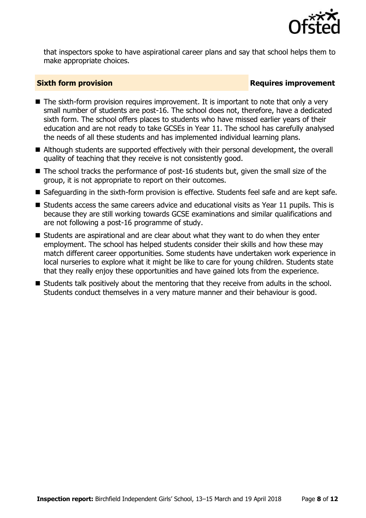

that inspectors spoke to have aspirational career plans and say that school helps them to make appropriate choices.

### **Sixth form provision Requires improvement**

- The sixth-form provision requires improvement. It is important to note that only a very small number of students are post-16. The school does not, therefore, have a dedicated sixth form. The school offers places to students who have missed earlier years of their education and are not ready to take GCSEs in Year 11. The school has carefully analysed the needs of all these students and has implemented individual learning plans.
- Although students are supported effectively with their personal development, the overall quality of teaching that they receive is not consistently good.
- $\blacksquare$  The school tracks the performance of post-16 students but, given the small size of the group, it is not appropriate to report on their outcomes.
- Safeguarding in the sixth-form provision is effective. Students feel safe and are kept safe.
- $\blacksquare$  Students access the same careers advice and educational visits as Year 11 pupils. This is because they are still working towards GCSE examinations and similar qualifications and are not following a post-16 programme of study.
- Students are aspirational and are clear about what they want to do when they enter employment. The school has helped students consider their skills and how these may match different career opportunities. Some students have undertaken work experience in local nurseries to explore what it might be like to care for young children. Students state that they really enjoy these opportunities and have gained lots from the experience.
- Students talk positively about the mentoring that they receive from adults in the school. Students conduct themselves in a very mature manner and their behaviour is good.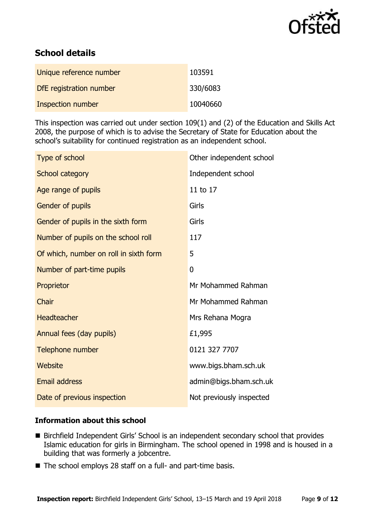

# **School details**

| Unique reference number  | 103591   |
|--------------------------|----------|
| DfE registration number  | 330/6083 |
| <b>Inspection number</b> | 10040660 |

This inspection was carried out under section 109(1) and (2) of the Education and Skills Act 2008, the purpose of which is to advise the Secretary of State for Education about the school's suitability for continued registration as an independent school.

| Type of school                         | Other independent school |
|----------------------------------------|--------------------------|
| School category                        | Independent school       |
| Age range of pupils                    | 11 to 17                 |
| Gender of pupils                       | Girls                    |
| Gender of pupils in the sixth form     | Girls                    |
| Number of pupils on the school roll    | 117                      |
| Of which, number on roll in sixth form | 5                        |
| Number of part-time pupils             | $\overline{0}$           |
| Proprietor                             | Mr Mohammed Rahman       |
| Chair                                  | Mr Mohammed Rahman       |
| <b>Headteacher</b>                     | Mrs Rehana Mogra         |
| Annual fees (day pupils)               | £1,995                   |
| Telephone number                       | 0121 327 7707            |
| Website                                | www.bigs.bham.sch.uk     |
| <b>Email address</b>                   | admin@bigs.bham.sch.uk   |
| Date of previous inspection            | Not previously inspected |

### **Information about this school**

- Birchfield Independent Girls' School is an independent secondary school that provides Islamic education for girls in Birmingham. The school opened in 1998 and is housed in a building that was formerly a jobcentre.
- The school employs 28 staff on a full- and part-time basis.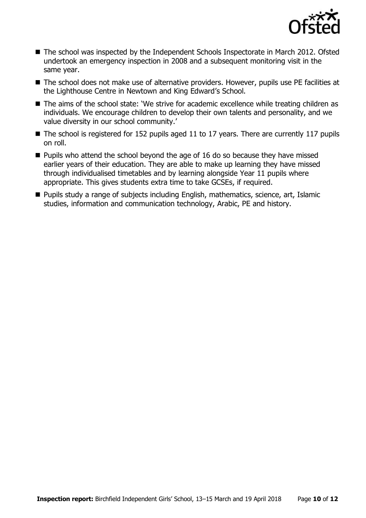

- The school was inspected by the Independent Schools Inspectorate in March 2012. Ofsted undertook an emergency inspection in 2008 and a subsequent monitoring visit in the same year.
- The school does not make use of alternative providers. However, pupils use PE facilities at the Lighthouse Centre in Newtown and King Edward's School.
- The aims of the school state: 'We strive for academic excellence while treating children as individuals. We encourage children to develop their own talents and personality, and we value diversity in our school community.'
- The school is registered for 152 pupils aged 11 to 17 years. There are currently 117 pupils on roll.
- $\blacksquare$  Pupils who attend the school beyond the age of 16 do so because they have missed earlier years of their education. They are able to make up learning they have missed through individualised timetables and by learning alongside Year 11 pupils where appropriate. This gives students extra time to take GCSEs, if required.
- Pupils study a range of subjects including English, mathematics, science, art, Islamic studies, information and communication technology, Arabic, PE and history.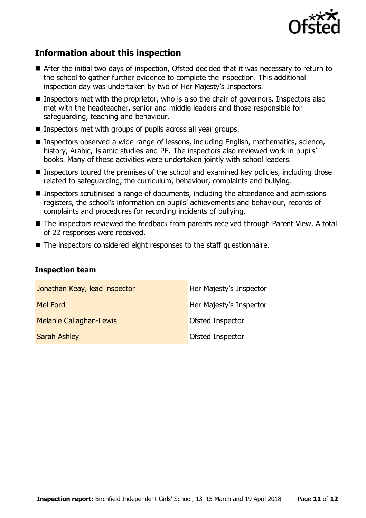

## **Information about this inspection**

- After the initial two days of inspection, Ofsted decided that it was necessary to return to the school to gather further evidence to complete the inspection. This additional inspection day was undertaken by two of Her Majesty's Inspectors.
- Inspectors met with the proprietor, who is also the chair of governors. Inspectors also met with the headteacher, senior and middle leaders and those responsible for safeguarding, teaching and behaviour.
- **Inspectors met with groups of pupils across all year groups.**
- Inspectors observed a wide range of lessons, including English, mathematics, science, history, Arabic, Islamic studies and PE. The inspectors also reviewed work in pupils' books. Many of these activities were undertaken jointly with school leaders.
- **Inspectors toured the premises of the school and examined key policies, including those** related to safeguarding, the curriculum, behaviour, complaints and bullying.
- Inspectors scrutinised a range of documents, including the attendance and admissions registers, the school's information on pupils' achievements and behaviour, records of complaints and procedures for recording incidents of bullying.
- The inspectors reviewed the feedback from parents received through Parent View. A total of 22 responses were received.
- The inspectors considered eight responses to the staff questionnaire.

#### **Inspection team**

| Jonathan Keay, lead inspector  | Her Majesty's Inspector |
|--------------------------------|-------------------------|
| Mel Ford                       | Her Majesty's Inspector |
| <b>Melanie Callaghan-Lewis</b> | Ofsted Inspector        |
| <b>Sarah Ashley</b>            | Ofsted Inspector        |